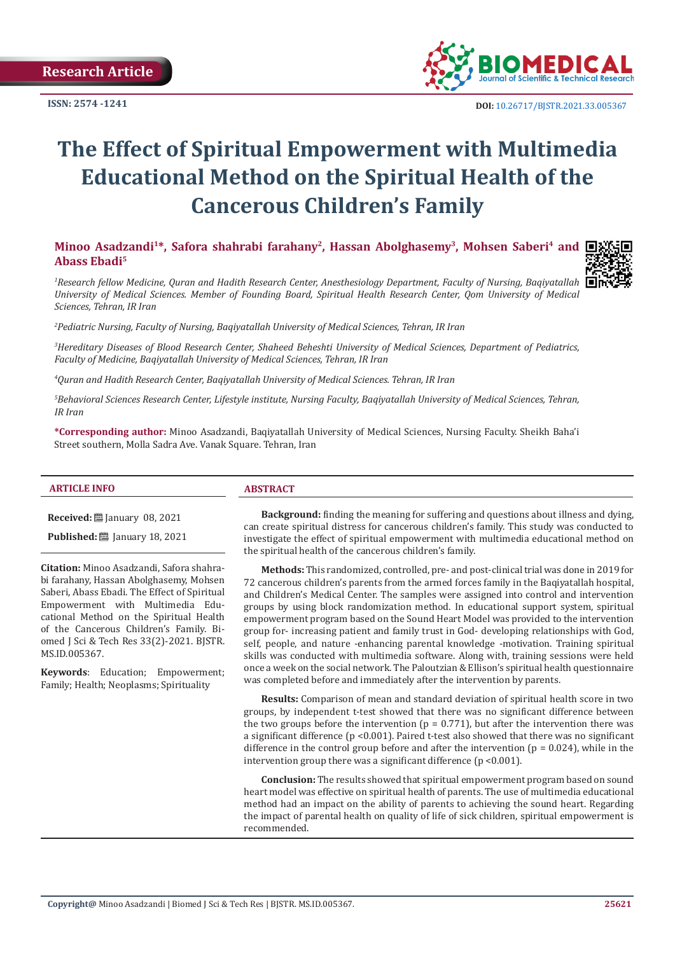

# **The Effect of Spiritual Empowerment with Multimedia Educational Method on the Spiritual Health of the Cancerous Children's Family**

Minoo Asadzandi<sup>1\*</sup>, Safora shahrabi farahany<sup>2</sup>, Hassan Abolghasemy<sup>3</sup>, Mohsen Saberi<sup>4</sup> and **I**: **Abass Ebadi5**



*1 Research fellow Medicine, Quran and Hadith Research Center, Anesthesiology Department, Faculty of Nursing, Baqiyatallah University of Medical Sciences. Member of Founding Board, Spiritual Health Research Center, Qom University of Medical Sciences, Tehran, IR Iran*

*2 Pediatric Nursing, Faculty of Nursing, Baqiyatallah University of Medical Sciences, Tehran, IR Iran*

*3 Hereditary Diseases of Blood Research Center, Shaheed Beheshti University of Medical Sciences, Department of Pediatrics, Faculty of Medicine, Baqiyatallah University of Medical Sciences, Tehran, IR Iran*

*4 Quran and Hadith Research Center, Baqiyatallah University of Medical Sciences. Tehran, IR Iran* 

*5 Behavioral Sciences Research Center, Lifestyle institute, Nursing Faculty, Baqiyatallah University of Medical Sciences, Tehran, IR Iran* 

**\*Corresponding author:** Minoo Asadzandi, Baqiyatallah University of Medical Sciences, Nursing Faculty. Sheikh Baha'i Street southern, Molla Sadra Ave. Vanak Square. Tehran, Iran

#### **ARTICLE INFO ABSTRACT**

**Received:** ■ January 08, 2021

**Published:** [2011] January 18, 2021

**Citation:** Minoo Asadzandi, Safora shahrabi farahany, Hassan Abolghasemy, Mohsen Saberi, Abass Ebadi. The Effect of Spiritual Empowerment with Multimedia Educational Method on the Spiritual Health of the Cancerous Children's Family. Biomed J Sci & Tech Res 33(2)-2021. BJSTR. MS.ID.005367.

**Keywords**: Education; Empowerment; Family; Health; Neoplasms; Spirituality

**Background:** finding the meaning for suffering and questions about illness and dying, can create spiritual distress for cancerous children's family. This study was conducted to investigate the effect of spiritual empowerment with multimedia educational method on the spiritual health of the cancerous children's family.

**Methods:** This randomized, controlled, pre- and post-clinical trial was done in 2019 for 72 cancerous children's parents from the armed forces family in the Baqiyatallah hospital, and Children's Medical Center. The samples were assigned into control and intervention groups by using block randomization method. In educational support system, spiritual empowerment program based on the Sound Heart Model was provided to the intervention group for- increasing patient and family trust in God- developing relationships with God, self, people, and nature -enhancing parental knowledge -motivation. Training spiritual skills was conducted with multimedia software. Along with, training sessions were held once a week on the social network. The Paloutzian & Ellison's spiritual health questionnaire was completed before and immediately after the intervention by parents.

**Results:** Comparison of mean and standard deviation of spiritual health score in two groups, by independent t-test showed that there was no significant difference between the two groups before the intervention ( $p = 0.771$ ), but after the intervention there was a significant difference (p <0.001). Paired t-test also showed that there was no significant difference in the control group before and after the intervention ( $p = 0.024$ ), while in the intervention group there was a significant difference (p <0.001).

**Conclusion:** The results showed that spiritual empowerment program based on sound heart model was effective on spiritual health of parents. The use of multimedia educational method had an impact on the ability of parents to achieving the sound heart. Regarding the impact of parental health on quality of life of sick children, spiritual empowerment is recommended.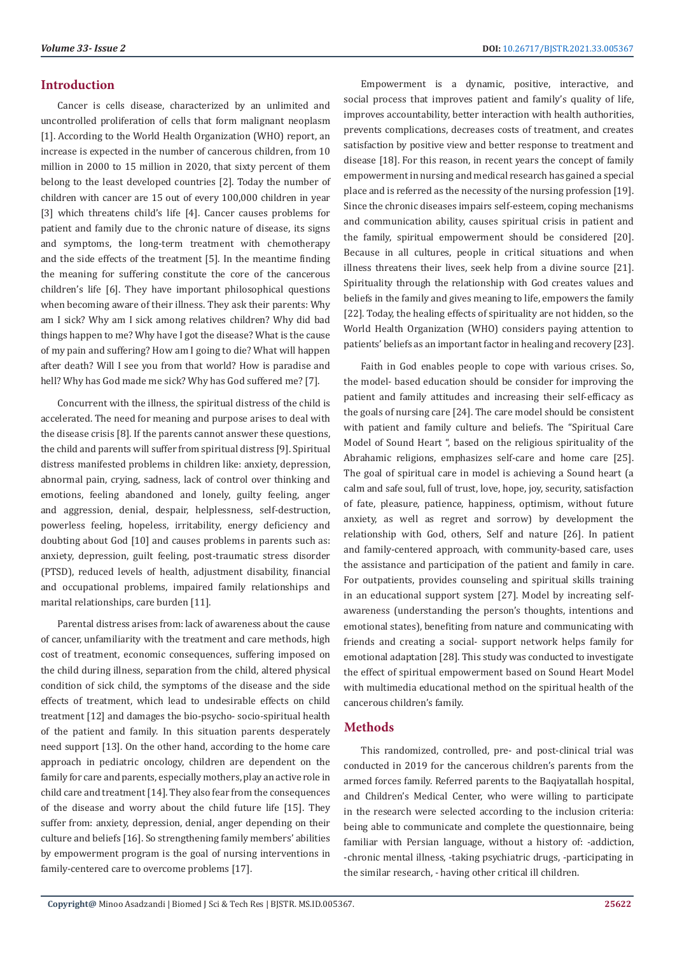### **Introduction**

Cancer is cells disease, characterized by an unlimited and uncontrolled proliferation of cells that form malignant neoplasm [1]. According to the World Health Organization (WHO) report, an increase is expected in the number of cancerous children, from 10 million in 2000 to 15 million in 2020, that sixty percent of them belong to the least developed countries [2]. Today the number of children with cancer are 15 out of every 100,000 children in year [3] which threatens child's life [4]. Cancer causes problems for patient and family due to the chronic nature of disease, its signs and symptoms, the long-term treatment with chemotherapy and the side effects of the treatment [5]. In the meantime finding the meaning for suffering constitute the core of the cancerous children's life [6]. They have important philosophical questions when becoming aware of their illness. They ask their parents: Why am I sick? Why am I sick among relatives children? Why did bad things happen to me? Why have I got the disease? What is the cause of my pain and suffering? How am I going to die? What will happen after death? Will I see you from that world? How is paradise and hell? Why has God made me sick? Why has God suffered me? [7].

Concurrent with the illness, the spiritual distress of the child is accelerated. The need for meaning and purpose arises to deal with the disease crisis [8]. If the parents cannot answer these questions, the child and parents will suffer from spiritual distress [9]. Spiritual distress manifested problems in children like: anxiety, depression, abnormal pain, crying, sadness, lack of control over thinking and emotions, feeling abandoned and lonely, guilty feeling, anger and aggression, denial, despair, helplessness, self-destruction, powerless feeling, hopeless, irritability, energy deficiency and doubting about God [10] and causes problems in parents such as: anxiety, depression, guilt feeling, post-traumatic stress disorder (PTSD), reduced levels of health, adjustment disability, financial and occupational problems, impaired family relationships and marital relationships, care burden [11].

Parental distress arises from: lack of awareness about the cause of cancer, unfamiliarity with the treatment and care methods, high cost of treatment, economic consequences, suffering imposed on the child during illness, separation from the child, altered physical condition of sick child, the symptoms of the disease and the side effects of treatment, which lead to undesirable effects on child treatment [12] and damages the bio-psycho- socio-spiritual health of the patient and family. In this situation parents desperately need support [13]. On the other hand, according to the home care approach in pediatric oncology, children are dependent on the family for care and parents, especially mothers, play an active role in child care and treatment [14]. They also fear from the consequences of the disease and worry about the child future life [15]. They suffer from: anxiety, depression, denial, anger depending on their culture and beliefs [16]. So strengthening family members' abilities by empowerment program is the goal of nursing interventions in family-centered care to overcome problems [17].

Empowerment is a dynamic, positive, interactive, and social process that improves patient and family's quality of life, improves accountability, better interaction with health authorities, prevents complications, decreases costs of treatment, and creates satisfaction by positive view and better response to treatment and disease [18]. For this reason, in recent years the concept of family empowerment in nursing and medical research has gained a special place and is referred as the necessity of the nursing profession [19]. Since the chronic diseases impairs self-esteem, coping mechanisms and communication ability, causes spiritual crisis in patient and the family, spiritual empowerment should be considered [20]. Because in all cultures, people in critical situations and when illness threatens their lives, seek help from a divine source [21]. Spirituality through the relationship with God creates values and beliefs in the family and gives meaning to life, empowers the family [22]. Today, the healing effects of spirituality are not hidden, so the World Health Organization (WHO) considers paying attention to patients' beliefs as an important factor in healing and recovery [23].

Faith in God enables people to cope with various crises. So, the model- based education should be consider for improving the patient and family attitudes and increasing their self-efficacy as the goals of nursing care [24]. The care model should be consistent with patient and family culture and beliefs. The "Spiritual Care Model of Sound Heart ", based on the religious spirituality of the Abrahamic religions, emphasizes self-care and home care [25]. The goal of spiritual care in model is achieving a Sound heart (a calm and safe soul, full of trust, love, hope, joy, security, satisfaction of fate, pleasure, patience, happiness, optimism, without future anxiety, as well as regret and sorrow) by development the relationship with God, others, Self and nature [26]. In patient and family-centered approach, with community-based care, uses the assistance and participation of the patient and family in care. For outpatients, provides counseling and spiritual skills training in an educational support system [27]. Model by increating selfawareness (understanding the person's thoughts, intentions and emotional states), benefiting from nature and communicating with friends and creating a social- support network helps family for emotional adaptation [28]. This study was conducted to investigate the effect of spiritual empowerment based on Sound Heart Model with multimedia educational method on the spiritual health of the cancerous children's family.

#### **Methods**

This randomized, controlled, pre- and post-clinical trial was conducted in 2019 for the cancerous children's parents from the armed forces family. Referred parents to the Baqiyatallah hospital, and Children's Medical Center, who were willing to participate in the research were selected according to the inclusion criteria: being able to communicate and complete the questionnaire, being familiar with Persian language, without a history of: -addiction, -chronic mental illness, -taking psychiatric drugs, -participating in the similar research, - having other critical ill children.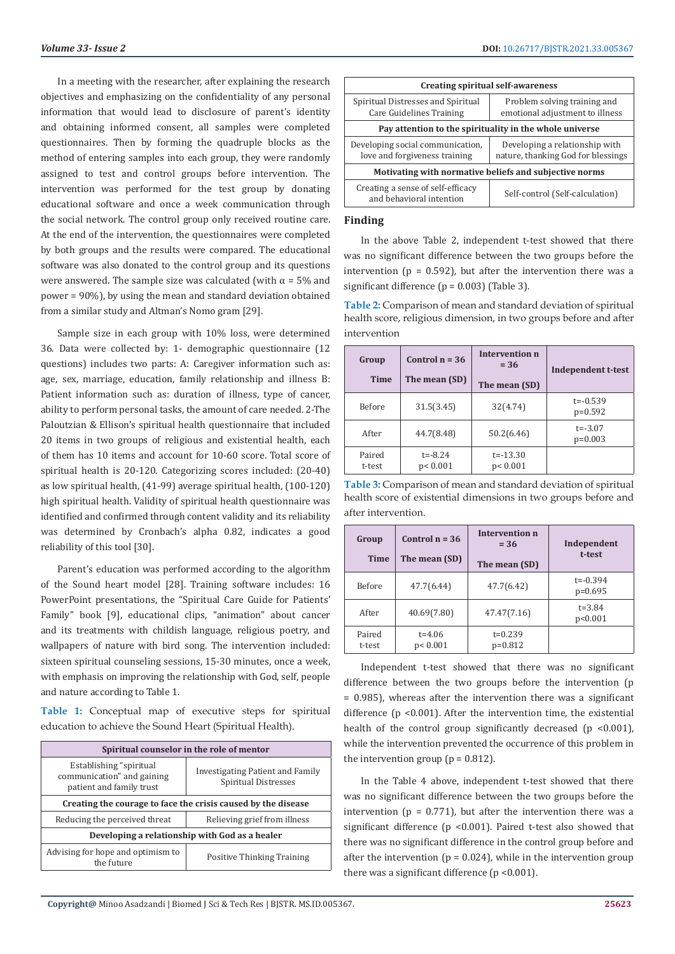In a meeting with the researcher, after explaining the research objectives and emphasizing on the confidentiality of any personal information that would lead to disclosure of parent's identity and obtaining informed consent, all samples were completed questionnaires. Then by forming the quadruple blocks as the method of entering samples into each group, they were randomly assigned to test and control groups before intervention. The intervention was performed for the test group by donating educational software and once a week communication through the social network. The control group only received routine care. At the end of the intervention, the questionnaires were completed by both groups and the results were compared. The educational software was also donated to the control group and its questions were answered. The sample size was calculated (with  $\alpha$  = 5% and power = 90%), by using the mean and standard deviation obtained from a similar study and Altman's Nomo gram [29].

Sample size in each group with 10% loss, were determined 36. Data were collected by: 1- demographic questionnaire (12 questions) includes two parts: A: Caregiver information such as: age, sex, marriage, education, family relationship and illness B: Patient information such as: duration of illness, type of cancer, ability to perform personal tasks, the amount of care needed. 2-The Paloutzian & Ellison's spiritual health questionnaire that included 20 items in two groups of religious and existential health, each of them has 10 items and account for 10-60 score. Total score of spiritual health is 20-120. Categorizing scores included: (20-40) as low spiritual health, (41-99) average spiritual health, (100-120) high spiritual health. Validity of spiritual health questionnaire was identified and confirmed through content validity and its reliability was determined by Cronbach's alpha 0.82, indicates a good reliability of this tool [30].

Parent's education was performed according to the algorithm of the Sound heart model [28]. Training software includes: 16 PowerPoint presentations, the "Spiritual Care Guide for Patients' Family" book [9], educational clips, "animation" about cancer and its treatments with childish language, religious poetry, and wallpapers of nature with bird song. The intervention included: sixteen spiritual counseling sessions, 15-30 minutes, once a week, with emphasis on improving the relationship with God, self, people and nature according to Table 1.

**Table 1:** Conceptual map of executive steps for spiritual education to achieve the Sound Heart (Spiritual Health).

| Spiritual counselor in the role of mentor                                         |                                                          |  |  |  |
|-----------------------------------------------------------------------------------|----------------------------------------------------------|--|--|--|
| Establishing "spiritual<br>communication" and gaining<br>patient and family trust | Investigating Patient and Family<br>Spiritual Distresses |  |  |  |
| Creating the courage to face the crisis caused by the disease                     |                                                          |  |  |  |
| Reducing the perceived threat                                                     | Relieving grief from illness                             |  |  |  |
| Developing a relationship with God as a healer                                    |                                                          |  |  |  |
| Advising for hope and optimism to<br>the future                                   | <b>Positive Thinking Training</b>                        |  |  |  |

| Creating spiritual self-awareness                                 |                                                                      |  |  |  |
|-------------------------------------------------------------------|----------------------------------------------------------------------|--|--|--|
| Spiritual Distresses and Spiritual<br>Care Guidelines Training    | Problem solving training and<br>emotional adjustment to illness      |  |  |  |
| Pay attention to the spirituality in the whole universe           |                                                                      |  |  |  |
| Developing social communication,<br>love and forgiveness training | Developing a relationship with<br>nature, thanking God for blessings |  |  |  |
| Motivating with normative beliefs and subjective norms            |                                                                      |  |  |  |
| Creating a sense of self-efficacy<br>and behavioral intention     | Self-control (Self-calculation)                                      |  |  |  |

#### **Finding**

In the above Table 2, independent t-test showed that there was no significant difference between the two groups before the intervention ( $p = 0.592$ ), but after the intervention there was a significant difference  $(p = 0.003)$  (Table 3).

**Table 2:** Comparison of mean and standard deviation of spiritual health score, religious dimension, in two groups before and after intervention

| Group<br><b>Time</b> | Control $n = 36$<br>The mean (SD) | Intervention n<br>$= 36$  | Independent t-test        |
|----------------------|-----------------------------------|---------------------------|---------------------------|
|                      |                                   | The mean (SD)             |                           |
| <b>Before</b>        | 31.5(3.45)                        | 32(4.74)                  | $t = -0.539$<br>$p=0.592$ |
| After                | 44.7(8.48)                        | 50.2(6.46)                | $t = -3.07$<br>$p=0.003$  |
| Paired<br>t-test     | $t = -8.24$<br>p < 0.001          | $t = -13.30$<br>p < 0.001 |                           |

**Table 3:** Comparison of mean and standard deviation of spiritual health score of existential dimensions in two groups before and after intervention.

| Group            | Control $n = 36$        | Intervention n<br>$= 36$ | Independent               |
|------------------|-------------------------|--------------------------|---------------------------|
| <b>Time</b>      | The mean (SD)           | The mean (SD)            | t-test                    |
| Before           | 47.7(6.44)              | 47.7(6.42)               | $t = -0.394$<br>$p=0.695$ |
| After            | 40.69(7.80)             | 47.47(7.16)              | $t = 3.84$<br>p<0.001     |
| Paired<br>t-test | $t = 4.06$<br>p < 0.001 | $t = 0.239$<br>$p=0.812$ |                           |

Independent t-test showed that there was no significant difference between the two groups before the intervention (p = 0.985), whereas after the intervention there was a significant difference (p <0.001). After the intervention time, the existential health of the control group significantly decreased  $(p \le 0.001)$ , while the intervention prevented the occurrence of this problem in the intervention group ( $p = 0.812$ ).

In the Table 4 above, independent t-test showed that there was no significant difference between the two groups before the intervention ( $p = 0.771$ ), but after the intervention there was a significant difference (p <0.001). Paired t-test also showed that there was no significant difference in the control group before and after the intervention ( $p = 0.024$ ), while in the intervention group there was a significant difference (p <0.001).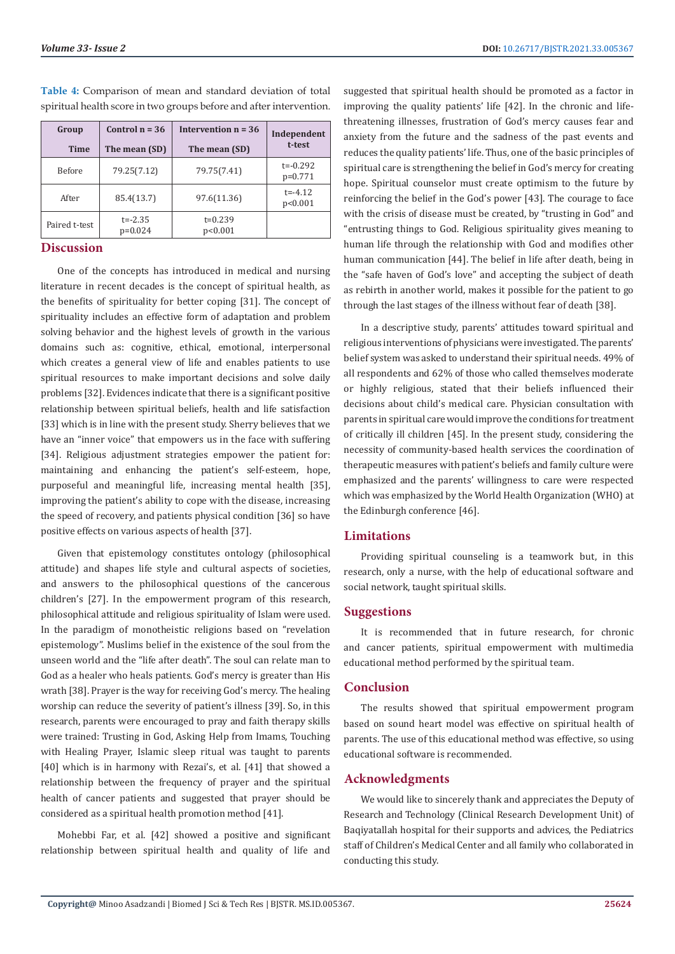| Group<br><b>Time</b> | Control $n = 36$<br>The mean (SD) | Intervention $n = 36$<br>The mean (SD) | Independent<br>t-test     |
|----------------------|-----------------------------------|----------------------------------------|---------------------------|
| Before               | 79.25(7.12)                       | 79.75(7.41)                            | $t = -0.292$<br>$p=0.771$ |
| After                | 85.4(13.7)                        | 97.6(11.36)                            | $t = -4.12$<br>p<0.001    |
| Paired t-test        | $t = -2.35$<br>$p=0.024$          | $t=0.239$<br>p<0.001                   |                           |

**Table 4:** Comparison of mean and standard deviation of total spiritual health score in two groups before and after intervention.

## **Discussion**

One of the concepts has introduced in medical and nursing literature in recent decades is the concept of spiritual health, as the benefits of spirituality for better coping [31]. The concept of spirituality includes an effective form of adaptation and problem solving behavior and the highest levels of growth in the various domains such as: cognitive, ethical, emotional, interpersonal which creates a general view of life and enables patients to use spiritual resources to make important decisions and solve daily problems [32]. Evidences indicate that there is a significant positive relationship between spiritual beliefs, health and life satisfaction [33] which is in line with the present study. Sherry believes that we have an "inner voice" that empowers us in the face with suffering [34]. Religious adjustment strategies empower the patient for: maintaining and enhancing the patient's self-esteem, hope, purposeful and meaningful life, increasing mental health [35], improving the patient's ability to cope with the disease, increasing the speed of recovery, and patients physical condition [36] so have positive effects on various aspects of health [37].

Given that epistemology constitutes ontology (philosophical attitude) and shapes life style and cultural aspects of societies, and answers to the philosophical questions of the cancerous children's [27]. In the empowerment program of this research, philosophical attitude and religious spirituality of Islam were used. In the paradigm of monotheistic religions based on "revelation epistemology". Muslims belief in the existence of the soul from the unseen world and the "life after death". The soul can relate man to God as a healer who heals patients. God's mercy is greater than His wrath [38]. Prayer is the way for receiving God's mercy. The healing worship can reduce the severity of patient's illness [39]. So, in this research, parents were encouraged to pray and faith therapy skills were trained: Trusting in God, Asking Help from Imams, Touching with Healing Prayer, Islamic sleep ritual was taught to parents [40] which is in harmony with Rezai's, et al. [41] that showed a relationship between the frequency of prayer and the spiritual health of cancer patients and suggested that prayer should be considered as a spiritual health promotion method [41].

Mohebbi Far, et al. [42] showed a positive and significant relationship between spiritual health and quality of life and

suggested that spiritual health should be promoted as a factor in improving the quality patients' life [42]. In the chronic and lifethreatening illnesses, frustration of God's mercy causes fear and anxiety from the future and the sadness of the past events and reduces the quality patients' life. Thus, one of the basic principles of spiritual care is strengthening the belief in God's mercy for creating hope. Spiritual counselor must create optimism to the future by reinforcing the belief in the God's power [43]. The courage to face with the crisis of disease must be created, by "trusting in God" and "entrusting things to God. Religious spirituality gives meaning to human life through the relationship with God and modifies other human communication [44]. The belief in life after death, being in the "safe haven of God's love" and accepting the subject of death as rebirth in another world, makes it possible for the patient to go through the last stages of the illness without fear of death [38].

In a descriptive study, parents' attitudes toward spiritual and religious interventions of physicians were investigated. The parents' belief system was asked to understand their spiritual needs. 49% of all respondents and 62% of those who called themselves moderate or highly religious, stated that their beliefs influenced their decisions about child's medical care. Physician consultation with parents in spiritual care would improve the conditions for treatment of critically ill children [45]. In the present study, considering the necessity of community-based health services the coordination of therapeutic measures with patient's beliefs and family culture were emphasized and the parents' willingness to care were respected which was emphasized by the World Health Organization (WHO) at the Edinburgh conference [46].

#### **Limitations**

Providing spiritual counseling is a teamwork but, in this research, only a nurse, with the help of educational software and social network, taught spiritual skills.

### **Suggestions**

It is recommended that in future research, for chronic and cancer patients, spiritual empowerment with multimedia educational method performed by the spiritual team.

#### **Conclusion**

The results showed that spiritual empowerment program based on sound heart model was effective on spiritual health of parents. The use of this educational method was effective, so using educational software is recommended.

# **Acknowledgments**

We would like to sincerely thank and appreciates the Deputy of Research and Technology (Clinical Research Development Unit) of Baqiyatallah hospital for their supports and advices, the Pediatrics staff of Children's Medical Center and all family who collaborated in conducting this study.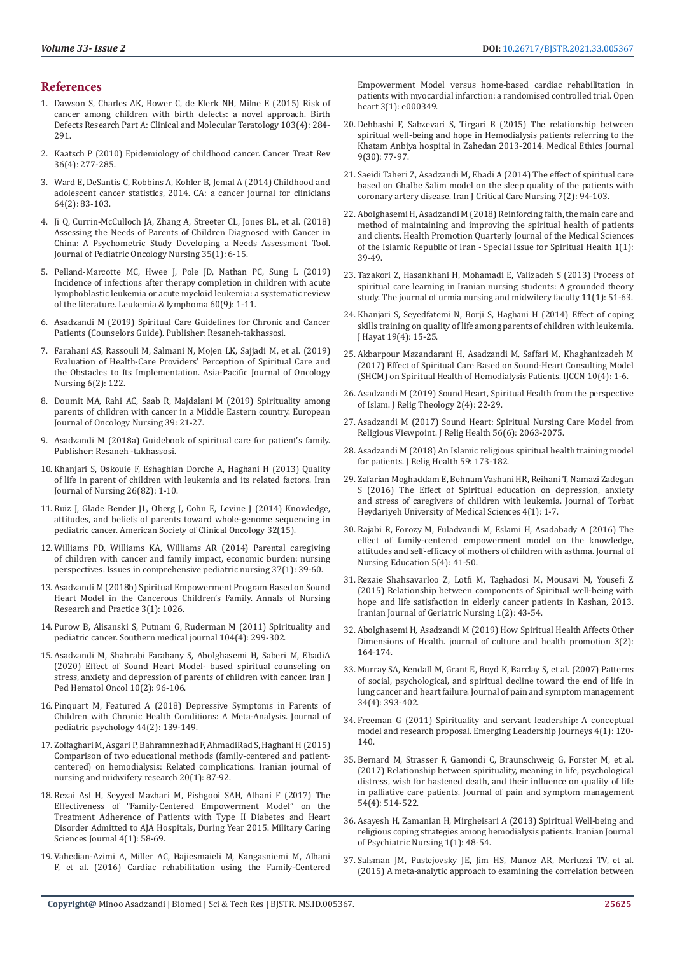# **References**

- 1. [Dawson S, Charles AK, Bower C, de Klerk NH, Milne E \(2015\) Risk of](https://pubmed.ncbi.nlm.nih.gov/25808250/)  [cancer among children with birth defects: a novel approach. Birth](https://pubmed.ncbi.nlm.nih.gov/25808250/)  [Defects Research Part A: Clinical and Molecular Teratology 103\(4\): 284-](https://pubmed.ncbi.nlm.nih.gov/25808250/) [291.](https://pubmed.ncbi.nlm.nih.gov/25808250/)
- 2. [Kaatsch P \(2010\) Epidemiology of childhood cancer. Cancer Treat Rev](https://pubmed.ncbi.nlm.nih.gov/20231056/)  [36\(4\): 277-285.](https://pubmed.ncbi.nlm.nih.gov/20231056/)
- 3. [Ward E, DeSantis C, Robbins A, Kohler B, Jemal A \(2014\) Childhood and](https://pubmed.ncbi.nlm.nih.gov/24488779/)  [adolescent cancer statistics, 2014. CA: a cancer journal for clinicians](https://pubmed.ncbi.nlm.nih.gov/24488779/)  [64\(2\): 83-103.](https://pubmed.ncbi.nlm.nih.gov/24488779/)
- 4. [Ji Q, Currin-McCulloch JA, Zhang A, Streeter CL, Jones BL, et al. \(2018\)](https://pubmed.ncbi.nlm.nih.gov/28849719/)  [Assessing the Needs of Parents of Children Diagnosed with Cancer in](https://pubmed.ncbi.nlm.nih.gov/28849719/)  [China: A Psychometric Study Developing a Needs Assessment Tool.](https://pubmed.ncbi.nlm.nih.gov/28849719/)  [Journal of Pediatric Oncology Nursing 35\(1\): 6-15.](https://pubmed.ncbi.nlm.nih.gov/28849719/)
- 5. [Pelland-Marcotte MC, Hwee J, Pole JD, Nathan PC, Sung L \(2019\)](https://www.researchgate.net/publication/331177234_Incidence_of_infections_after_therapy_completion_in_children_with_acute_lymphoblastic_leukemia_or_acute_myeloid_leukemia_a_systematic_review_of_the_literature)  [Incidence of infections after therapy completion in children with acute](https://www.researchgate.net/publication/331177234_Incidence_of_infections_after_therapy_completion_in_children_with_acute_lymphoblastic_leukemia_or_acute_myeloid_leukemia_a_systematic_review_of_the_literature)  [lymphoblastic leukemia or acute myeloid leukemia: a systematic review](https://www.researchgate.net/publication/331177234_Incidence_of_infections_after_therapy_completion_in_children_with_acute_lymphoblastic_leukemia_or_acute_myeloid_leukemia_a_systematic_review_of_the_literature)  [of the literature. Leukemia & lymphoma 60\(9\): 1-11.](https://www.researchgate.net/publication/331177234_Incidence_of_infections_after_therapy_completion_in_children_with_acute_lymphoblastic_leukemia_or_acute_myeloid_leukemia_a_systematic_review_of_the_literature)
- 6. Asadzandi M (2019) Spiritual Care Guidelines for Chronic and Cancer Patients (Counselors Guide). Publisher: Resaneh-takhassosi.
- 7. [Farahani AS, Rassouli M, Salmani N, Mojen LK, Sajjadi M, et al. \(2019\)](https://www.researchgate.net/publication/330773458_Evaluation_of_Health-Care_Providers)  [Evaluation of Health-Care Providers' Perception of Spiritual Care and](https://www.researchgate.net/publication/330773458_Evaluation_of_Health-Care_Providers)  [the Obstacles to Its Implementation. Asia-Pacific Journal of Oncology](https://www.researchgate.net/publication/330773458_Evaluation_of_Health-Care_Providers)  [Nursing 6\(2\): 122.](https://www.researchgate.net/publication/330773458_Evaluation_of_Health-Care_Providers)
- 8. [Doumit MA, Rahi AC, Saab R, Majdalani M \(2019\) Spirituality among](https://pubmed.ncbi.nlm.nih.gov/30850134/)  [parents of children with cancer in a Middle Eastern country. European](https://pubmed.ncbi.nlm.nih.gov/30850134/)  [Journal of Oncology Nursing 39: 21-27.](https://pubmed.ncbi.nlm.nih.gov/30850134/)
- 9. Asadzandi M (2018a) Guidebook of spiritual care for patient's family. Publisher: Resaneh -takhassosi.
- 10. [Khanjari S, Oskouie F, Eshaghian Dorche A, Haghani H \(2013\) Quality](http://ijn.iums.ac.ir/browse.php?a_id=1543&sid=1&slc_lang=en)  [of life in parent of children with leukemia and its related factors. Iran](http://ijn.iums.ac.ir/browse.php?a_id=1543&sid=1&slc_lang=en)  [Journal of Nursing 26\(82\): 1-10.](http://ijn.iums.ac.ir/browse.php?a_id=1543&sid=1&slc_lang=en)
- 11. [Ruiz J, Glade Bender JL, Oberg J, Cohn E, Levine J \(2014\) Knowledge,](https://ascopubs.org/doi/abs/10.1200/jco.2014.32.15_suppl.10090)  [attitudes, and beliefs of parents toward whole-genome sequencing in](https://ascopubs.org/doi/abs/10.1200/jco.2014.32.15_suppl.10090)  [pediatric cancer. American Society of Clinical Oncology 32\(15\).](https://ascopubs.org/doi/abs/10.1200/jco.2014.32.15_suppl.10090)
- 12. [Williams PD, Williams KA, Williams AR \(2014\) Parental caregiving](https://pubmed.ncbi.nlm.nih.gov/24261317/)  [of children with cancer and family impact, economic burden: nursing](https://pubmed.ncbi.nlm.nih.gov/24261317/)  [perspectives. Issues in comprehensive pediatric nursing 37\(1\): 39-60.](https://pubmed.ncbi.nlm.nih.gov/24261317/)
- 13. [Asadzandi M \(2018b\) Spiritual Empowerment Program Based on Sound](https://www.researchgate.net/publication/326409366_Spiritual_Empowerment_Program_Based_on_Sound_Heart_Model_in_the_Cancerous_Children)  [Heart Model in the Cancerous Children's Family. Annals of Nursing](https://www.researchgate.net/publication/326409366_Spiritual_Empowerment_Program_Based_on_Sound_Heart_Model_in_the_Cancerous_Children)  [Research and Practice 3\(1\): 1026.](https://www.researchgate.net/publication/326409366_Spiritual_Empowerment_Program_Based_on_Sound_Heart_Model_in_the_Cancerous_Children)
- 14. [Purow B, Alisanski S, Putnam G, Ruderman M \(2011\) Spirituality and](https://pubmed.ncbi.nlm.nih.gov/21206405/)  [pediatric cancer. Southern medical journal 104\(4\): 299-302.](https://pubmed.ncbi.nlm.nih.gov/21206405/)
- 15. [Asadzandi M, Shahrabi Farahany S, Abolghasemi H, Saberi M, EbadiA](http://ijpho.ssu.ac.ir/browse.php?a_id=503&slc_lang=en&sid=1&printcase=1&hbnr=1&hmb=1)  [\(2020\) Effect of Sound Heart Model- based spiritual counseling on](http://ijpho.ssu.ac.ir/browse.php?a_id=503&slc_lang=en&sid=1&printcase=1&hbnr=1&hmb=1)  [stress, anxiety and depression of parents of children with cancer. Iran J](http://ijpho.ssu.ac.ir/browse.php?a_id=503&slc_lang=en&sid=1&printcase=1&hbnr=1&hmb=1)  [Ped Hematol Oncol 10\(2\): 96-106.](http://ijpho.ssu.ac.ir/browse.php?a_id=503&slc_lang=en&sid=1&printcase=1&hbnr=1&hmb=1)
- 16. [Pinquart M, Featured A \(2018\) Depressive Symptoms in Parents of](https://www.researchgate.net/publication/328462743_Depressive_Symptoms_in_Parents_of_Children_With_Chronic_Health_Conditions_A_Meta-Analysis)  [Children with Chronic Health Conditions: A Meta-Analysis. Journal of](https://www.researchgate.net/publication/328462743_Depressive_Symptoms_in_Parents_of_Children_With_Chronic_Health_Conditions_A_Meta-Analysis)  [pediatric psychology 44\(2\): 139-149.](https://www.researchgate.net/publication/328462743_Depressive_Symptoms_in_Parents_of_Children_With_Chronic_Health_Conditions_A_Meta-Analysis)
- 17. [Zolfaghari M, Asgari P, Bahramnezhad F, AhmadiRad S, Haghani H \(2015\)](https://www.ncbi.nlm.nih.gov/pmc/articles/PMC4325420/)  [Comparison of two educational methods \(family-centered and patient](https://www.ncbi.nlm.nih.gov/pmc/articles/PMC4325420/)[centered\) on hemodialysis: Related complications. Iranian journal of](https://www.ncbi.nlm.nih.gov/pmc/articles/PMC4325420/)  [nursing and midwifery research 20\(1\): 87-92.](https://www.ncbi.nlm.nih.gov/pmc/articles/PMC4325420/)
- 18. [Rezai Asl H, Seyyed Mazhari M, Pishgooi SAH, Alhani F \(2017\) The](https://www.researchgate.net/publication/323170589_The_Effectiveness_of_Family-Centered_Empowerment_Model_on_the_Treatment_Adherence_of_Patients_with_Type_II_Diabetes_and_Heart_Disorder_Admitted_to_AJA_Hospitals_During_Year_2015)  [Effectiveness of "Family-Centered Empowerment Model" on the](https://www.researchgate.net/publication/323170589_The_Effectiveness_of_Family-Centered_Empowerment_Model_on_the_Treatment_Adherence_of_Patients_with_Type_II_Diabetes_and_Heart_Disorder_Admitted_to_AJA_Hospitals_During_Year_2015)  [Treatment Adherence of Patients with Type II Diabetes and Heart](https://www.researchgate.net/publication/323170589_The_Effectiveness_of_Family-Centered_Empowerment_Model_on_the_Treatment_Adherence_of_Patients_with_Type_II_Diabetes_and_Heart_Disorder_Admitted_to_AJA_Hospitals_During_Year_2015)  [Disorder Admitted to AJA Hospitals, During Year 2015. Military Caring](https://www.researchgate.net/publication/323170589_The_Effectiveness_of_Family-Centered_Empowerment_Model_on_the_Treatment_Adherence_of_Patients_with_Type_II_Diabetes_and_Heart_Disorder_Admitted_to_AJA_Hospitals_During_Year_2015)  [Sciences Journal 4\(1\): 58-69.](https://www.researchgate.net/publication/323170589_The_Effectiveness_of_Family-Centered_Empowerment_Model_on_the_Treatment_Adherence_of_Patients_with_Type_II_Diabetes_and_Heart_Disorder_Admitted_to_AJA_Hospitals_During_Year_2015)
- 19. [Vahedian-Azimi A, Miller AC, Hajiesmaieli M, Kangasniemi M, Alhani](https://pubmed.ncbi.nlm.nih.gov/27110376/)  [F, et al. \(2016\) Cardiac rehabilitation using the Family-Centered](https://pubmed.ncbi.nlm.nih.gov/27110376/)

[Empowerment Model versus home-based cardiac rehabilitation in](https://pubmed.ncbi.nlm.nih.gov/27110376/) [patients with myocardial infarction: a randomised controlled trial. Open](https://pubmed.ncbi.nlm.nih.gov/27110376/) [heart 3\(1\): e000349.](https://pubmed.ncbi.nlm.nih.gov/27110376/)

- 20. [Dehbashi F, Sabzevari S, Tirgari B \(2015\) The relationship between](https://www.semanticscholar.org/paper/The-relationship-between-spiritual-well-being-and-Dehbashi-Sabzevari/c2a406e66139ce9dd842100fd2c3275d0087eb57) [spiritual well-being and hope in Hemodialysis patients referring to the](https://www.semanticscholar.org/paper/The-relationship-between-spiritual-well-being-and-Dehbashi-Sabzevari/c2a406e66139ce9dd842100fd2c3275d0087eb57) [Khatam Anbiya hospital in Zahedan 2013-2014. Medical Ethics Journal](https://www.semanticscholar.org/paper/The-relationship-between-spiritual-well-being-and-Dehbashi-Sabzevari/c2a406e66139ce9dd842100fd2c3275d0087eb57) [9\(30\): 77-97.](https://www.semanticscholar.org/paper/The-relationship-between-spiritual-well-being-and-Dehbashi-Sabzevari/c2a406e66139ce9dd842100fd2c3275d0087eb57)
- 21. [Saeidi Taheri Z, Asadzandi M, Ebadi A \(2014\) The effect of spiritual care](https://www.researchgate.net/publication/320676922_The_effect_of_spiritual_care_based_on_Ghalbe_Salim_model_on_the_sleep_quality_of_the_patients_with_coronary_artery_disease) [based on Ghalbe Salim model on the sleep quality of the patients with](https://www.researchgate.net/publication/320676922_The_effect_of_spiritual_care_based_on_Ghalbe_Salim_model_on_the_sleep_quality_of_the_patients_with_coronary_artery_disease) [coronary artery disease. Iran J Critical Care Nursing 7\(2\): 94-103.](https://www.researchgate.net/publication/320676922_The_effect_of_spiritual_care_based_on_Ghalbe_Salim_model_on_the_sleep_quality_of_the_patients_with_coronary_artery_disease)
- 22. [Abolghasemi H, Asadzandi M \(2018\) Reinforcing faith, the main care and](https://www.researchgate.net/publication/323612920_Reinforcing_faith_the_main_care_and_method_of_maintaining_and_improving_the_spiritual_health_of_patients_and_clients) [method of maintaining and improving the spiritual health of patients](https://www.researchgate.net/publication/323612920_Reinforcing_faith_the_main_care_and_method_of_maintaining_and_improving_the_spiritual_health_of_patients_and_clients) [and clients. Health Promotion Quarterly Journal of the Medical Sciences](https://www.researchgate.net/publication/323612920_Reinforcing_faith_the_main_care_and_method_of_maintaining_and_improving_the_spiritual_health_of_patients_and_clients) [of the Islamic Republic of Iran - Special Issue for Spiritual Health 1\(1\):](https://www.researchgate.net/publication/323612920_Reinforcing_faith_the_main_care_and_method_of_maintaining_and_improving_the_spiritual_health_of_patients_and_clients) [39-49.](https://www.researchgate.net/publication/323612920_Reinforcing_faith_the_main_care_and_method_of_maintaining_and_improving_the_spiritual_health_of_patients_and_clients)
- 23. [Tazakori Z, Hasankhani H, Mohamadi E, Valizadeh S \(2013\) Process of](http://unmf.umsu.ac.ir/article-1-1215-en.html) [spiritual care learning in Iranian nursing students: A grounded theory](http://unmf.umsu.ac.ir/article-1-1215-en.html) [study. The journal of urmia nursing and midwifery faculty 11\(1\): 51-63.](http://unmf.umsu.ac.ir/article-1-1215-en.html)
- 24. [Khanjari S, Seyedfatemi N, Borji S, Haghani H \(2014\) Effect of coping](https://hayat.tums.ac.ir/browse.php?a_id=651&sid=1&slc_lang=en) [skills training on quality of life among parents of children with leukemia.](https://hayat.tums.ac.ir/browse.php?a_id=651&sid=1&slc_lang=en) [J Hayat 19\(4\): 15-25.](https://hayat.tums.ac.ir/browse.php?a_id=651&sid=1&slc_lang=en)
- 25. [Akbarpour Mazandarani H, Asadzandi M, Saffari M, Khaghanizadeh M](https://www.researchgate.net/publication/322023071_Effect_of_Spiritual_Care_Based_on_Sound-Heart_Consulting_Model_SHCM_on_Spiritual_Health_of_Hemodialysis_Patients) [\(2017\) Effect of Spiritual Care Based on Sound-Heart Consulting Model](https://www.researchgate.net/publication/322023071_Effect_of_Spiritual_Care_Based_on_Sound-Heart_Consulting_Model_SHCM_on_Spiritual_Health_of_Hemodialysis_Patients) [\(SHCM\) on Spiritual Health of Hemodialysis Patients. IJCCN 10\(4\): 1-6.](https://www.researchgate.net/publication/322023071_Effect_of_Spiritual_Care_Based_on_Sound-Heart_Consulting_Model_SHCM_on_Spiritual_Health_of_Hemodialysis_Patients)
- 26. [Asadzandi M \(2019\) Sound Heart, Spiritual Health from the perspective](https://www.sryahwapublications.com/journal-of-religion-and-theology/pdf/v3-i1/2.pdf) [of Islam. J Relig Theology 2\(4\): 22-29.](https://www.sryahwapublications.com/journal-of-religion-and-theology/pdf/v3-i1/2.pdf)
- 27. [Asadzandi M \(2017\) Sound Heart: Spiritual Nursing Care Model from](https://link.springer.com/article/10.1007/s10943-015-0038-1) [Religious Viewpoint. J Relig Health 56\(6\): 2063-2075.](https://link.springer.com/article/10.1007/s10943-015-0038-1)
- 28. [Asadzandi M \(2018\) An Islamic religious spiritual health training model](https://link.springer.com/article/10.1007/s10943-018-0709-9) [for patients. J Relig Health 59: 173-182.](https://link.springer.com/article/10.1007/s10943-018-0709-9)
- 29. [Zafarian Moghaddam E, Behnam Vashani HR, Reihani T, Namazi Zadegan](https://www.magiran.com/paper/1627431/?lang=en) [S \(2016\) The Effect of Spiritual education on depression, anxiety](https://www.magiran.com/paper/1627431/?lang=en) [and stress of caregivers of children with leukemia. Journal of Torbat](https://www.magiran.com/paper/1627431/?lang=en) [Heydariyeh University of Medical Sciences 4\(1\): 1-7.](https://www.magiran.com/paper/1627431/?lang=en)
- 30. [Rajabi R, Forozy M, Fuladvandi M, Eslami H, Asadabady A \(2016\) The](http://jne.ir/browse.php?a_id=723&sid=1&slc_lang=en) [effect of family-centered empowerment model on the knowledge,](http://jne.ir/browse.php?a_id=723&sid=1&slc_lang=en) [attitudes and self-efficacy of mothers of children with asthma. Journal of](http://jne.ir/browse.php?a_id=723&sid=1&slc_lang=en) [Nursing Education 5\(4\): 41-50.](http://jne.ir/browse.php?a_id=723&sid=1&slc_lang=en)
- 31. [Rezaie Shahsavarloo Z, Lotfi M, Taghadosi M, Mousavi M, Yousefi Z](http://jgn.medilam.ac.ir/browse.php?a_id=76&sid=1&slc_lang=en) [\(2015\) Relationship between components of Spiritual well-being with](http://jgn.medilam.ac.ir/browse.php?a_id=76&sid=1&slc_lang=en) [hope and life satisfaction in elderly cancer patients in Kashan, 2013.](http://jgn.medilam.ac.ir/browse.php?a_id=76&sid=1&slc_lang=en) [Iranian Journal of Geriatric Nursing 1\(2\): 43-54.](http://jgn.medilam.ac.ir/browse.php?a_id=76&sid=1&slc_lang=en)
- 32. [Abolghasemi H, Asadzandi M \(2019\) How Spiritual Health Affects Other](https://www.researchgate.net/publication/339697151_How_Spiritual_Health_Affects_Other_Dimensions_of_Health_Physical_and_Psycho-Social) [Dimensions of Health. journal of culture and health promotion 3\(2\):](https://www.researchgate.net/publication/339697151_How_Spiritual_Health_Affects_Other_Dimensions_of_Health_Physical_and_Psycho-Social) [164-174.](https://www.researchgate.net/publication/339697151_How_Spiritual_Health_Affects_Other_Dimensions_of_Health_Physical_and_Psycho-Social)
- 33. [Murray SA, Kendall M, Grant E, Boyd K, Barclay S, et al. \(2007\) Patterns](https://pubmed.ncbi.nlm.nih.gov/17616334/) [of social, psychological, and spiritual decline toward the end of life in](https://pubmed.ncbi.nlm.nih.gov/17616334/) [lung cancer and heart failure. Journal of pain and symptom management](https://pubmed.ncbi.nlm.nih.gov/17616334/) [34\(4\): 393-402.](https://pubmed.ncbi.nlm.nih.gov/17616334/)
- 34. [Freeman G \(2011\) Spirituality and servant leadership: A conceptual](http://citeseerx.ist.psu.edu/viewdoc/summary?doi=10.1.1.467.6293) [model and research proposal. Emerging Leadership Journeys 4\(1\): 120-](http://citeseerx.ist.psu.edu/viewdoc/summary?doi=10.1.1.467.6293) [140.](http://citeseerx.ist.psu.edu/viewdoc/summary?doi=10.1.1.467.6293)
- 35. [Bernard M, Strasser F, Gamondi C, Braunschweig G, Forster M, et al.](https://pubmed.ncbi.nlm.nih.gov/28716616/) [\(2017\) Relationship between spirituality, meaning in life, psychological](https://pubmed.ncbi.nlm.nih.gov/28716616/) [distress, wish for hastened death, and their influence on quality of life](https://pubmed.ncbi.nlm.nih.gov/28716616/) [in palliative care patients. Journal of pain and symptom management](https://pubmed.ncbi.nlm.nih.gov/28716616/) [54\(4\): 514-522.](https://pubmed.ncbi.nlm.nih.gov/28716616/)
- 36. [Asayesh H, Zamanian H, Mirgheisari A \(2013\) Spiritual Well-being and](http://ijpn.ir/browse.php?a_id=28&sid=1&slc_lang=en) [religious coping strategies among hemodialysis patients. Iranian Journal](http://ijpn.ir/browse.php?a_id=28&sid=1&slc_lang=en) [of Psychiatric Nursing 1\(1\): 48-54.](http://ijpn.ir/browse.php?a_id=28&sid=1&slc_lang=en)
- 37. [Salsman JM, Pustejovsky JE, Jim HS, Munoz AR, Merluzzi TV, et al.](https://pubmed.ncbi.nlm.nih.gov/26258536/) [\(2015\) A meta‐analytic approach to examining the correlation between](https://pubmed.ncbi.nlm.nih.gov/26258536/)